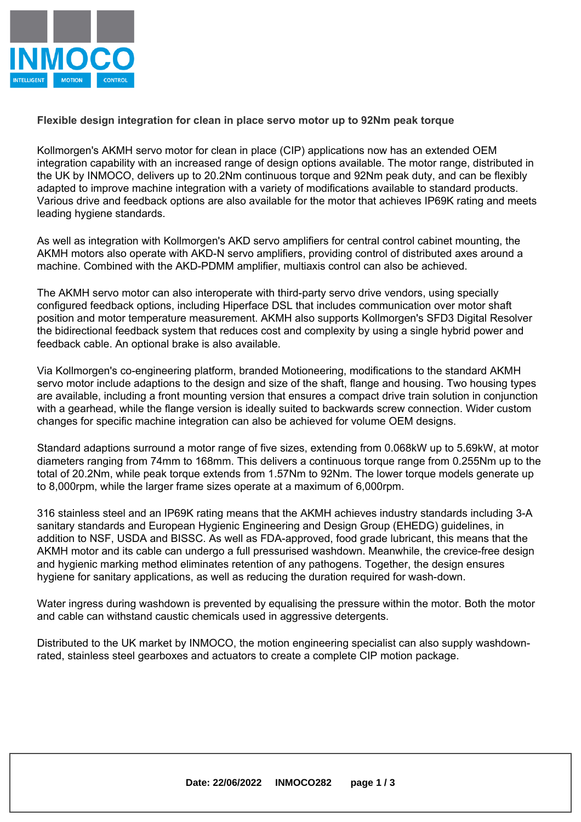

**Flexible design integration for clean in place servo motor up to 92Nm peak torque**

[Kollmorgen's](https://www.kollmorgen.com/en-us/company/about-us/?utm_source=eu-inmoco&utm_medium=press-release&utm_campaign=none&utm_term=regional&utm_content=about-us-webpage  ) ) AKMH servo motor for clean in place (CIP) applications now has an extended OEM integration capability with an increased range of design options available. The motor range, distributed in the UK by INMOCO, delivers up to 20.2Nm continuous torque and 92Nm peak duty, and can be flexibly adapted to improve machine integration with <sup>a</sup> variety of modifications available to standard products. Various drive and feedback options are also available for the motor that achieves IP69K rating and meets leading hygiene standards.

As well as integration with Kollmorgen's AKD servo amplifiers for central control cabinet mounting, the AKMH motors also operate with AKD-N servo amplifiers, providing control of distributed axes around <sup>a</sup> machine. Combined with the AKD-PDMM amplifier, multiaxis control can also be achieved.

The AKMH servo motor can also interoperate with third-party servo drive vendors, using specially configured feedback options, including Hiperface DSL that includes communication over motor shaft position and motor temperature measurement. AKMH also supports Kollmorgen's SFD3 Digital Resolver the bidirectional feedback system that reduces cost and complexity by using <sup>a</sup> single hybrid power and feedback cable. An optional brake is also available.

Via Kollmorgen's co-engineering platform, branded Motioneering, modifications to the standard AKMH servo motor include adaptions to the design and size of the shaft, flange and housing. Two housing types are available, including <sup>a</sup> front mounting version that ensures <sup>a</sup> compact drive train solution in conjunction with <sup>a</sup> gearhead, while the flange version is ideally suited to backwards screw connection. Wider custom changes for specific machine integration can also be achieved for volume OEM designs.

Standard adaptions surround <sup>a</sup> motor range of five sizes, extending from 0.068kW up to 5.69kW, at motor diameters ranging from 74mm to 168mm. This delivers <sup>a</sup> continuous torque range from 0.255Nm up to the total of 20.2Nm, while peak torque extends from 1.57Nm to 92Nm. The lower torque models generate up to 8,000rpm, while the larger frame sizes operate at <sup>a</sup> maximum of 6,000rpm.

316 stainless steel and an IP69K rating means that the AKMH achieves industry standards including 3-A sanitary standards and European Hygienic Engineering and Design Group (EHEDG) guidelines, in addition to NSF, USDA and BISSC. As well as FDA-approved, food grade lubricant, this means that the AKMH motor and its cable can undergo <sup>a</sup> full pressurised washdown. Meanwhile, the crevice-free design and hygienic marking method eliminates retention of any pathogens. Together, the design ensures hygiene for sanitary applications, as well as reducing the duration required for wash-down.

Water ingress during washdown is prevented by equalising the pressure within the motor. Both the motor and cable can withstand caustic chemicals used in aggressive detergents.

Distributed to the UK market by INMOCO, the motion engineering specialist can also supply washdownrated, stainless steel gearboxes and actuators to create <sup>a</sup> complete CIP motion package.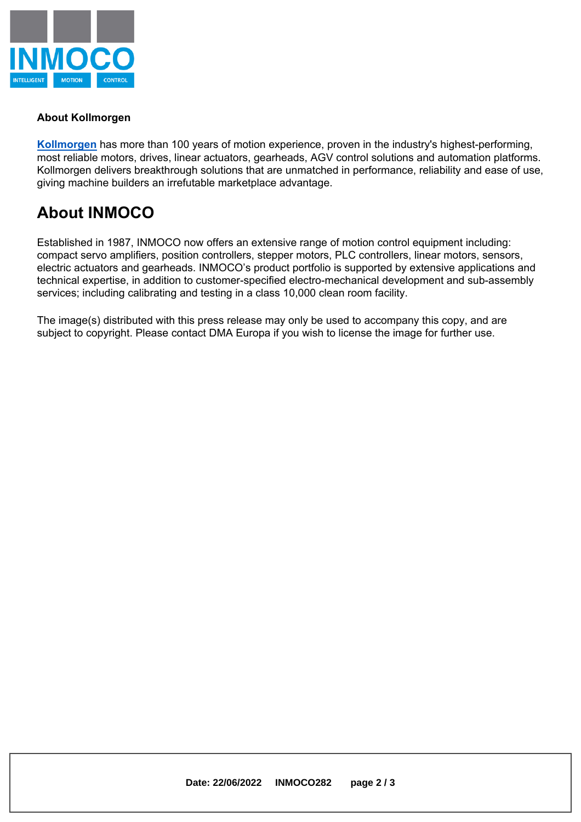

## **About Kollmorgen**

**Kollmorgen** has more than 100 years of motion experience, proven in the industry's highest-performing, most reliable motors, drives, linear actuators, gearheads, AGV control solutions and automation platforms. Kollmorgen delivers breakthrough solutions that are unmatched in performance, reliability and ease of use, giving machine builders an irrefutable marketplace advantage.

## **About INMOCO**

Established in 1987, INMOCO now offers an extensive range of motion control equipment including: compact servo amplifiers, position controllers, stepper motors, PLC controllers, linear motors, sensors, electric actuators and gearheads. INMOCO's product portfolio is supported by extensive applications and technical expertise, in addition to customer-specified electro-mechanical development and sub-assembly services; including calibrating and testing in <sup>a</sup> class 10,000 clean room facility.

The image(s) distributed with this press release may only be used to accompany this copy, and are subject to copyright. Please contact DMA Europa if you wish to license the image for further use.